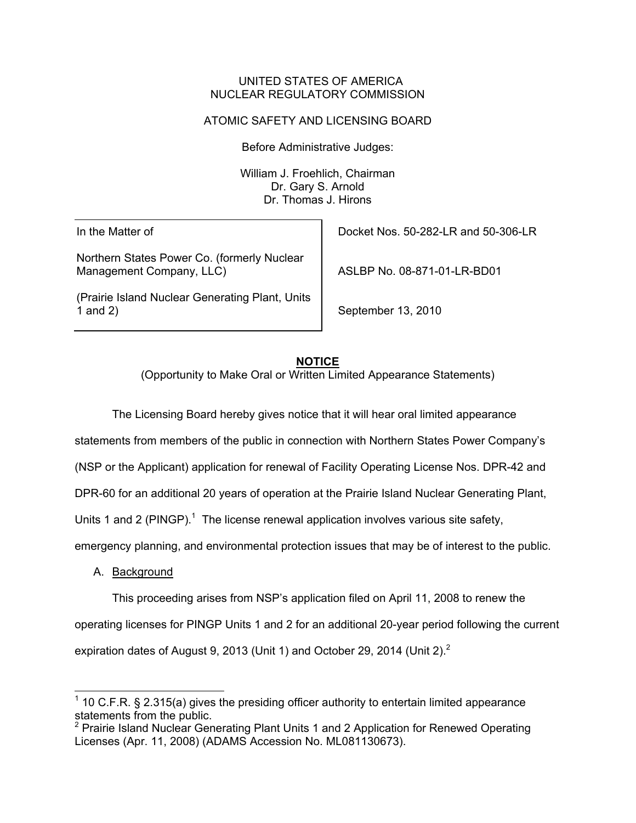#### UNITED STATES OF AMERICA NUCLEAR REGULATORY COMMISSION

# ATOMIC SAFETY AND LICENSING BOARD

Before Administrative Judges:

William J. Froehlich, Chairman Dr. Gary S. Arnold Dr. Thomas J. Hirons

In the Matter of

Northern States Power Co. (formerly Nuclear Management Company, LLC)

(Prairie Island Nuclear Generating Plant, Units 1 and 2)

Docket Nos. 50-282-LR and 50-306-LR

ASLBP No. 08-871-01-LR-BD01

September 13, 2010

## **NOTICE**

(Opportunity to Make Oral or Written Limited Appearance Statements)

 The Licensing Board hereby gives notice that it will hear oral limited appearance statements from members of the public in connection with Northern States Power Company's

(NSP or the Applicant) application for renewal of Facility Operating License Nos. DPR-42 and

DPR-60 for an additional 20 years of operation at the Prairie Island Nuclear Generating Plant,

Units 1 and 2 (PINGP).<sup>1</sup> The license renewal application involves various site safety,

emergency planning, and environmental protection issues that may be of interest to the public.

A. Background

 This proceeding arises from NSP's application filed on April 11, 2008 to renew the operating licenses for PINGP Units 1 and 2 for an additional 20-year period following the current expiration dates of August 9, 2013 (Unit 1) and October 29, 2014 (Unit 2). $^2$ 

l  $1$  10 C.F.R. § 2.315(a) gives the presiding officer authority to entertain limited appearance statements from the public.

<sup>&</sup>lt;sup>2</sup> Prairie Island Nuclear Generating Plant Units 1 and 2 Application for Renewed Operating Licenses (Apr. 11, 2008) (ADAMS Accession No. ML081130673).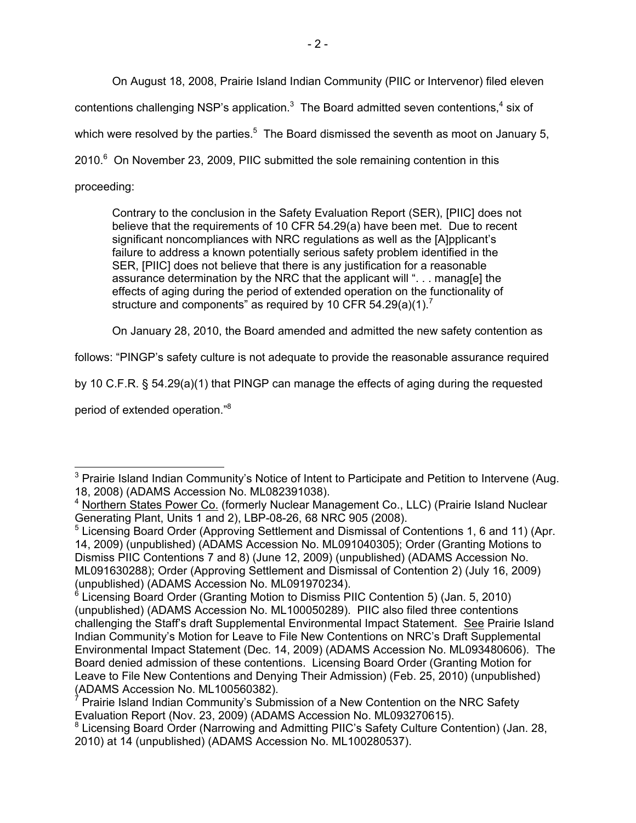On August 18, 2008, Prairie Island Indian Community (PIIC or Intervenor) filed eleven

contentions challenging NSP's application.<sup>3</sup> The Board admitted seven contentions,<sup>4</sup> six of

which were resolved by the parties.<sup>5</sup> The Board dismissed the seventh as moot on January 5,

2010. $^6$  On November 23, 2009, PIIC submitted the sole remaining contention in this

proceeding:

Contrary to the conclusion in the Safety Evaluation Report (SER), [PIIC] does not believe that the requirements of 10 CFR 54.29(a) have been met. Due to recent significant noncompliances with NRC regulations as well as the [A]pplicant's failure to address a known potentially serious safety problem identified in the SER, [PIIC] does not believe that there is any justification for a reasonable assurance determination by the NRC that the applicant will ". . . manag[e] the effects of aging during the period of extended operation on the functionality of structure and components" as required by 10 CFR 54.29(a)(1).<sup>7</sup>

On January 28, 2010, the Board amended and admitted the new safety contention as

follows: "PINGP's safety culture is not adequate to provide the reasonable assurance required

by 10 C.F.R. § 54.29(a)(1) that PINGP can manage the effects of aging during the requested

period of extended operation."8

l <sup>3</sup> Prairie Island Indian Community's Notice of Intent to Participate and Petition to Intervene (Aug. 18, 2008) (ADAMS Accession No. ML082391038).

<sup>&</sup>lt;sup>4</sup> Northern States Power Co. (formerly Nuclear Management Co., LLC) (Prairie Island Nuclear Generating Plant, Units 1 and 2), LBP-08-26, 68 NRC 905 (2008).

<sup>&</sup>lt;sup>5</sup> Licensing Board Order (Approving Settlement and Dismissal of Contentions 1, 6 and 11) (Apr. 14, 2009) (unpublished) (ADAMS Accession No. ML091040305); Order (Granting Motions to Dismiss PIIC Contentions 7 and 8) (June 12, 2009) (unpublished) (ADAMS Accession No. ML091630288); Order (Approving Settlement and Dismissal of Contention 2) (July 16, 2009) (unpublished) (ADAMS Accession No. ML091970234).

<sup>&</sup>lt;sup>6</sup> Licensing Board Order (Granting Motion to Dismiss PIIC Contention 5) (Jan. 5, 2010) (unpublished) (ADAMS Accession No. ML100050289). PIIC also filed three contentions challenging the Staff's draft Supplemental Environmental Impact Statement. See Prairie Island Indian Community's Motion for Leave to File New Contentions on NRC's Draft Supplemental Environmental Impact Statement (Dec. 14, 2009) (ADAMS Accession No. ML093480606). The Board denied admission of these contentions. Licensing Board Order (Granting Motion for Leave to File New Contentions and Denying Their Admission) (Feb. 25, 2010) (unpublished) (ADAMS Accession No. ML100560382).

<sup>&</sup>lt;sup>7</sup> Prairie Island Indian Community's Submission of a New Contention on the NRC Safety Evaluation Report (Nov. 23, 2009) (ADAMS Accession No. ML093270615).

<sup>&</sup>lt;sup>8</sup> Licensing Board Order (Narrowing and Admitting PIIC's Safety Culture Contention) (Jan. 28, 2010) at 14 (unpublished) (ADAMS Accession No. ML100280537).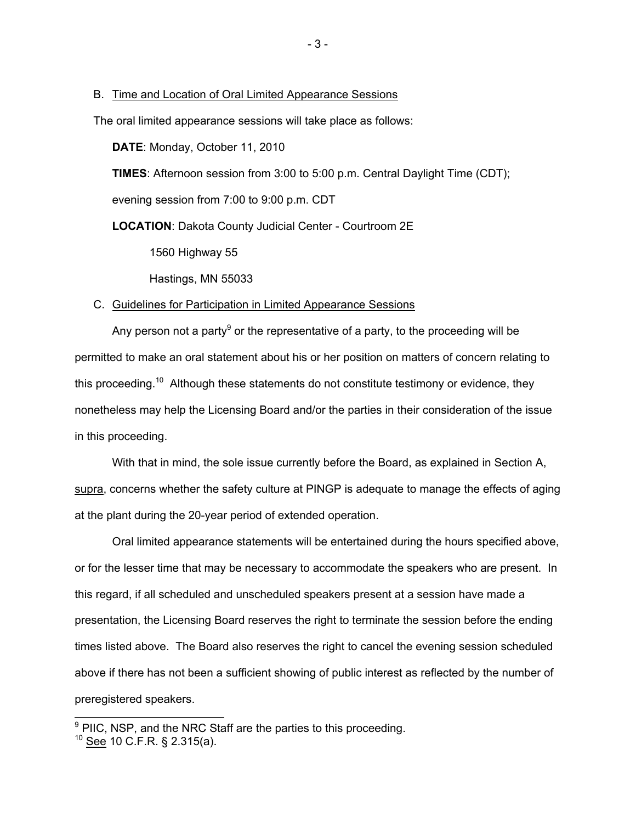#### B. Time and Location of Oral Limited Appearance Sessions

The oral limited appearance sessions will take place as follows:

**DATE**: Monday, October 11, 2010

**TIMES**: Afternoon session from 3:00 to 5:00 p.m. Central Daylight Time (CDT);

evening session from 7:00 to 9:00 p.m. CDT

**LOCATION**: Dakota County Judicial Center - Courtroom 2E

1560 Highway 55

Hastings, MN 55033

#### C. Guidelines for Participation in Limited Appearance Sessions

Any person not a party<sup>9</sup> or the representative of a party, to the proceeding will be permitted to make an oral statement about his or her position on matters of concern relating to this proceeding.<sup>10</sup> Although these statements do not constitute testimony or evidence, they nonetheless may help the Licensing Board and/or the parties in their consideration of the issue in this proceeding.

With that in mind, the sole issue currently before the Board, as explained in Section A, supra, concerns whether the safety culture at PINGP is adequate to manage the effects of aging at the plant during the 20-year period of extended operation.

Oral limited appearance statements will be entertained during the hours specified above, or for the lesser time that may be necessary to accommodate the speakers who are present. In this regard, if all scheduled and unscheduled speakers present at a session have made a presentation, the Licensing Board reserves the right to terminate the session before the ending times listed above. The Board also reserves the right to cancel the evening session scheduled above if there has not been a sufficient showing of public interest as reflected by the number of preregistered speakers.

**EXECUTE:**<br><sup>9</sup> PIIC, NSP, and the NRC Staff are the parties to this proceeding.

 $10$  See 10 C.F.R. § 2.315(a).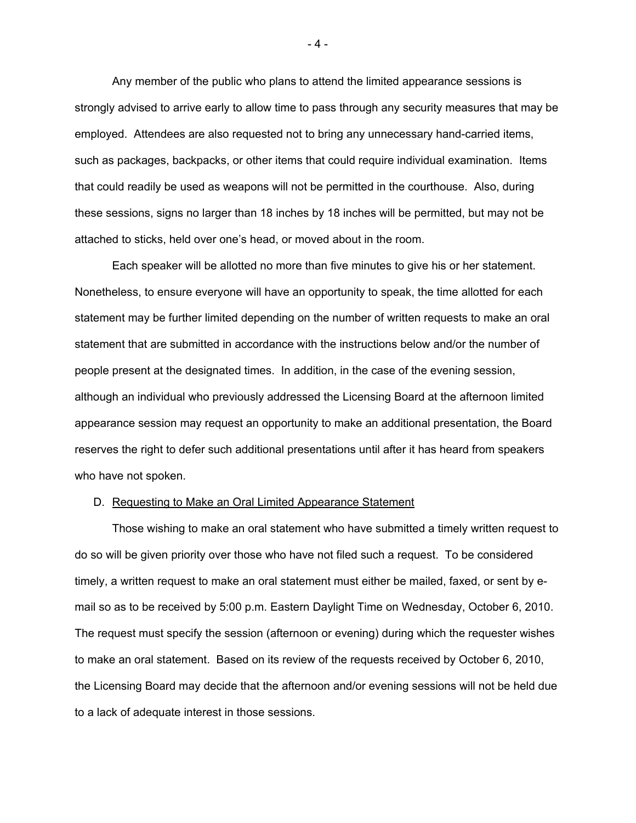Any member of the public who plans to attend the limited appearance sessions is strongly advised to arrive early to allow time to pass through any security measures that may be employed. Attendees are also requested not to bring any unnecessary hand-carried items, such as packages, backpacks, or other items that could require individual examination. Items that could readily be used as weapons will not be permitted in the courthouse. Also, during these sessions, signs no larger than 18 inches by 18 inches will be permitted, but may not be attached to sticks, held over one's head, or moved about in the room.

Each speaker will be allotted no more than five minutes to give his or her statement. Nonetheless, to ensure everyone will have an opportunity to speak, the time allotted for each statement may be further limited depending on the number of written requests to make an oral statement that are submitted in accordance with the instructions below and/or the number of people present at the designated times. In addition, in the case of the evening session, although an individual who previously addressed the Licensing Board at the afternoon limited appearance session may request an opportunity to make an additional presentation, the Board reserves the right to defer such additional presentations until after it has heard from speakers who have not spoken.

#### D. Requesting to Make an Oral Limited Appearance Statement

Those wishing to make an oral statement who have submitted a timely written request to do so will be given priority over those who have not filed such a request. To be considered timely, a written request to make an oral statement must either be mailed, faxed, or sent by email so as to be received by 5:00 p.m. Eastern Daylight Time on Wednesday, October 6, 2010. The request must specify the session (afternoon or evening) during which the requester wishes to make an oral statement. Based on its review of the requests received by October 6, 2010, the Licensing Board may decide that the afternoon and/or evening sessions will not be held due to a lack of adequate interest in those sessions.

- 4 -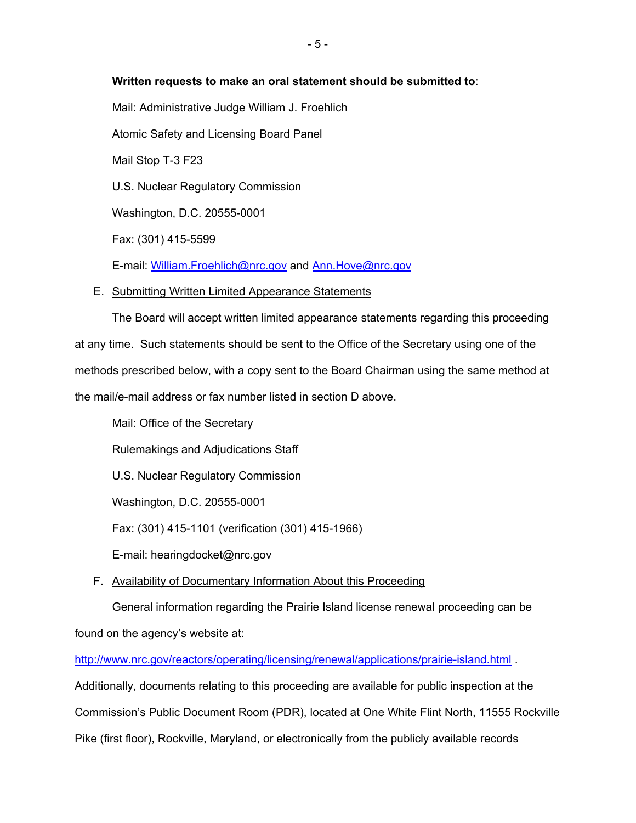## **Written requests to make an oral statement should be submitted to**:

Mail: Administrative Judge William J. Froehlich Atomic Safety and Licensing Board Panel Mail Stop T-3 F23 U.S. Nuclear Regulatory Commission Washington, D.C. 20555-0001 Fax: (301) 415-5599

E-mail: William.Froehlich@nrc.gov and Ann.Hove@nrc.gov

E. Submitting Written Limited Appearance Statements

The Board will accept written limited appearance statements regarding this proceeding at any time. Such statements should be sent to the Office of the Secretary using one of the methods prescribed below, with a copy sent to the Board Chairman using the same method at the mail/e-mail address or fax number listed in section D above.

Mail: Office of the Secretary Rulemakings and Adjudications Staff U.S. Nuclear Regulatory Commission Washington, D.C. 20555-0001 Fax: (301) 415-1101 (verification (301) 415-1966) E-mail: hearingdocket@nrc.gov

F. Availability of Documentary Information About this Proceeding

General information regarding the Prairie Island license renewal proceeding can be found on the agency's website at:

http://www.nrc.gov/reactors/operating/licensing/renewal/applications/prairie-island.html . Additionally, documents relating to this proceeding are available for public inspection at the Commission's Public Document Room (PDR), located at One White Flint North, 11555 Rockville Pike (first floor), Rockville, Maryland, or electronically from the publicly available records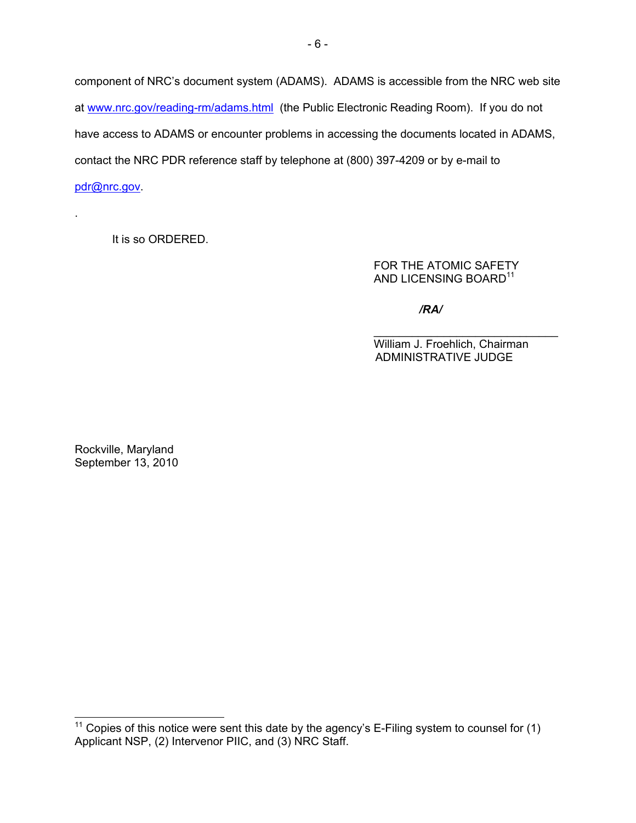component of NRC's document system (ADAMS). ADAMS is accessible from the NRC web site at www.nrc.gov/reading-rm/adams.html (the Public Electronic Reading Room). If you do not have access to ADAMS or encounter problems in accessing the documents located in ADAMS, contact the NRC PDR reference staff by telephone at (800) 397-4209 or by e-mail to pdr@nrc.gov.

It is so ORDERED.

.

l

 FOR THE ATOMIC SAFETY AND LICENSING BOARD<sup>11</sup>

*/RA/*

 $\mathcal{L}_\mathcal{L} = \{ \mathcal{L}_\mathcal{L} = \{ \mathcal{L}_\mathcal{L} = \{ \mathcal{L}_\mathcal{L} = \{ \mathcal{L}_\mathcal{L} = \{ \mathcal{L}_\mathcal{L} = \{ \mathcal{L}_\mathcal{L} = \{ \mathcal{L}_\mathcal{L} = \{ \mathcal{L}_\mathcal{L} = \{ \mathcal{L}_\mathcal{L} = \{ \mathcal{L}_\mathcal{L} = \{ \mathcal{L}_\mathcal{L} = \{ \mathcal{L}_\mathcal{L} = \{ \mathcal{L}_\mathcal{L} = \{ \mathcal{L}_\mathcal{$  William J. Froehlich, Chairman ADMINISTRATIVE JUDGE

Rockville, Maryland September 13, 2010

<sup>&</sup>lt;sup>11</sup> Copies of this notice were sent this date by the agency's E-Filing system to counsel for (1) Applicant NSP, (2) Intervenor PIIC, and (3) NRC Staff.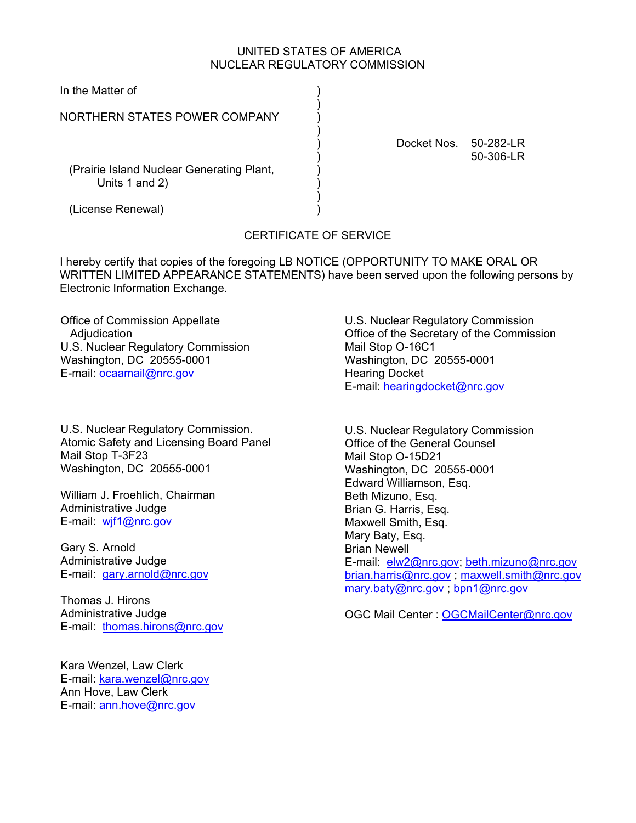## UNITED STATES OF AMERICA NUCLEAR REGULATORY COMMISSION

| In the Matter of                                            |             |                              |
|-------------------------------------------------------------|-------------|------------------------------|
| NORTHERN STATES POWER COMPANY                               |             |                              |
|                                                             | Docket Nos. | $50 - 282 - LR$<br>50-306-LR |
| (Prairie Island Nuclear Generating Plant,<br>Units 1 and 2) |             |                              |
| (License Renewal)                                           |             |                              |

# CERTIFICATE OF SERVICE

I hereby certify that copies of the foregoing LB NOTICE (OPPORTUNITY TO MAKE ORAL OR WRITTEN LIMITED APPEARANCE STATEMENTS) have been served upon the following persons by Electronic Information Exchange.

Office of Commission Appellate **Adjudication** U.S. Nuclear Regulatory Commission Washington, DC 20555-0001 E-mail: ocaamail@nrc.gov

U.S. Nuclear Regulatory Commission. Atomic Safety and Licensing Board Panel Mail Stop T-3F23 Washington, DC 20555-0001

William J. Froehlich, Chairman Administrative Judge E-mail: wjf1@nrc.gov

Gary S. Arnold Administrative Judge E-mail: gary.arnold@nrc.gov

Thomas J. Hirons Administrative Judge E-mail: thomas.hirons@nrc.gov

Kara Wenzel, Law Clerk E-mail: kara.wenzel@nrc.gov Ann Hove, Law Clerk E-mail: ann.hove@nrc.gov

U.S. Nuclear Regulatory Commission Office of the Secretary of the Commission Mail Stop O-16C1 Washington, DC 20555-0001 Hearing Docket E-mail: hearingdocket@nrc.gov

U.S. Nuclear Regulatory Commission Office of the General Counsel Mail Stop O-15D21 Washington, DC 20555-0001 Edward Williamson, Esq. Beth Mizuno, Esq. Brian G. Harris, Esq. Maxwell Smith, Esq. Mary Baty, Esq. Brian Newell E-mail: elw2@nrc.gov; beth.mizuno@nrc.gov brian.harris@nrc.gov ; maxwell.smith@nrc.gov mary.baty@nrc.gov ; bpn1@nrc.gov

OGC Mail Center : OGCMailCenter@nrc.gov